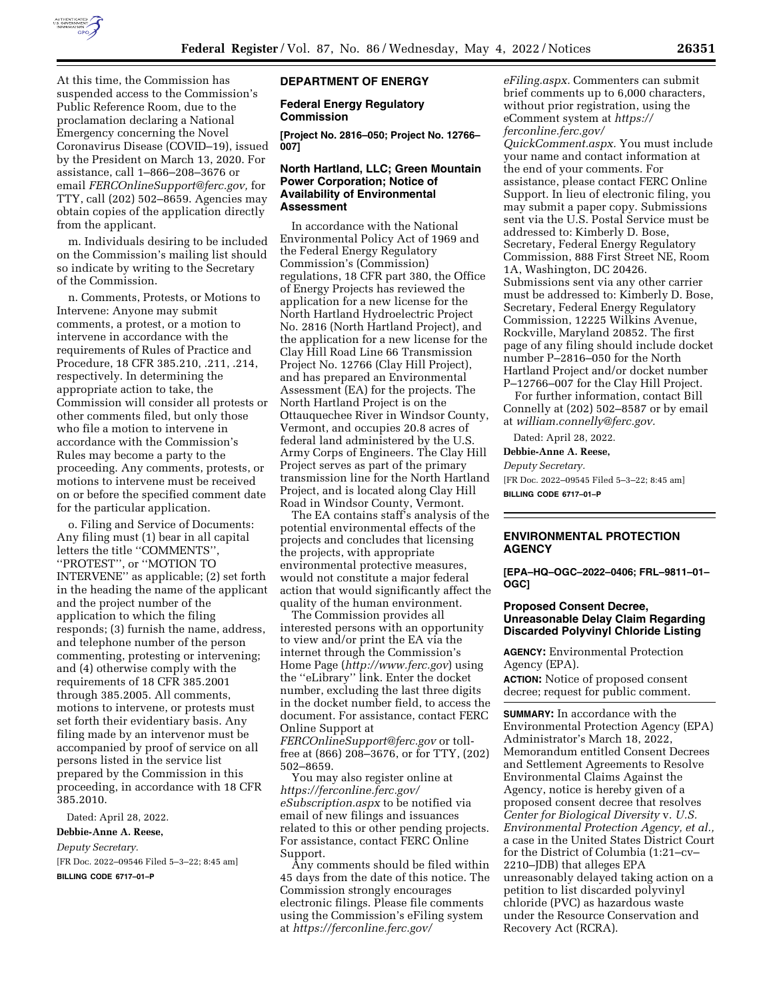

At this time, the Commission has suspended access to the Commission's Public Reference Room, due to the proclamation declaring a National Emergency concerning the Novel Coronavirus Disease (COVID–19), issued by the President on March 13, 2020. For assistance, call 1–866–208–3676 or email *[FERCOnlineSupport@ferc.gov,](mailto:FERCOnlineSupport@ferc.gov)* for TTY, call (202) 502–8659. Agencies may obtain copies of the application directly from the applicant.

m. Individuals desiring to be included on the Commission's mailing list should so indicate by writing to the Secretary of the Commission.

n. Comments, Protests, or Motions to Intervene: Anyone may submit comments, a protest, or a motion to intervene in accordance with the requirements of Rules of Practice and Procedure, 18 CFR 385.210, .211, .214, respectively. In determining the appropriate action to take, the Commission will consider all protests or other comments filed, but only those who file a motion to intervene in accordance with the Commission's Rules may become a party to the proceeding. Any comments, protests, or motions to intervene must be received on or before the specified comment date for the particular application.

o. Filing and Service of Documents: Any filing must (1) bear in all capital letters the title ''COMMENTS'', ''PROTEST'', or ''MOTION TO INTERVENE'' as applicable; (2) set forth in the heading the name of the applicant and the project number of the application to which the filing responds; (3) furnish the name, address, and telephone number of the person commenting, protesting or intervening; and (4) otherwise comply with the requirements of 18 CFR 385.2001 through 385.2005. All comments, motions to intervene, or protests must set forth their evidentiary basis. Any filing made by an intervenor must be accompanied by proof of service on all persons listed in the service list prepared by the Commission in this proceeding, in accordance with 18 CFR 385.2010.

Dated: April 28, 2022.

### **Debbie-Anne A. Reese,**

*Deputy Secretary.* 

[FR Doc. 2022–09546 Filed 5–3–22; 8:45 am]

**BILLING CODE 6717–01–P** 

### **DEPARTMENT OF ENERGY**

**Federal Energy Regulatory Commission** 

**[Project No. 2816–050; Project No. 12766– 007]** 

### **North Hartland, LLC; Green Mountain Power Corporation; Notice of Availability of Environmental Assessment**

In accordance with the National Environmental Policy Act of 1969 and the Federal Energy Regulatory Commission's (Commission) regulations, 18 CFR part 380, the Office of Energy Projects has reviewed the application for a new license for the North Hartland Hydroelectric Project No. 2816 (North Hartland Project), and the application for a new license for the Clay Hill Road Line 66 Transmission Project No. 12766 (Clay Hill Project), and has prepared an Environmental Assessment (EA) for the projects. The North Hartland Project is on the Ottauquechee River in Windsor County, Vermont, and occupies 20.8 acres of federal land administered by the U.S. Army Corps of Engineers. The Clay Hill Project serves as part of the primary transmission line for the North Hartland Project, and is located along Clay Hill Road in Windsor County, Vermont.

The EA contains staff's analysis of the potential environmental effects of the projects and concludes that licensing the projects, with appropriate environmental protective measures, would not constitute a major federal action that would significantly affect the quality of the human environment.

The Commission provides all interested persons with an opportunity to view and/or print the EA via the internet through the Commission's Home Page (*<http://www.ferc.gov>*) using the ''eLibrary'' link. Enter the docket number, excluding the last three digits in the docket number field, to access the document. For assistance, contact FERC Online Support at

*[FERCOnlineSupport@ferc.gov](mailto:FERCOnlineSupport@ferc.gov)* or tollfree at (866) 208–3676, or for TTY, (202) 502–8659.

You may also register online at *[https://ferconline.ferc.gov/](https://ferconline.ferc.gov/eSubscription.aspx) [eSubscription.aspx](https://ferconline.ferc.gov/eSubscription.aspx)* to be notified via email of new filings and issuances related to this or other pending projects. For assistance, contact FERC Online Support.

Any comments should be filed within 45 days from the date of this notice. The Commission strongly encourages electronic filings. Please file comments using the Commission's eFiling system at *[https://ferconline.ferc.gov/](https://ferconline.ferc.gov/eFiling.aspx)* 

*[eFiling.aspx.](https://ferconline.ferc.gov/eFiling.aspx)* Commenters can submit brief comments up to 6,000 characters, without prior registration, using the eComment system at *[https://](https://ferconline.ferc.gov/QuickComment.aspx) [ferconline.ferc.gov/](https://ferconline.ferc.gov/QuickComment.aspx)* 

*[QuickComment.aspx.](https://ferconline.ferc.gov/QuickComment.aspx)* You must include your name and contact information at the end of your comments. For assistance, please contact FERC Online Support. In lieu of electronic filing, you may submit a paper copy. Submissions sent via the U.S. Postal Service must be addressed to: Kimberly D. Bose, Secretary, Federal Energy Regulatory Commission, 888 First Street NE, Room 1A, Washington, DC 20426. Submissions sent via any other carrier must be addressed to: Kimberly D. Bose, Secretary, Federal Energy Regulatory Commission, 12225 Wilkins Avenue, Rockville, Maryland 20852. The first page of any filing should include docket number P–2816–050 for the North Hartland Project and/or docket number P–12766–007 for the Clay Hill Project.

For further information, contact Bill Connelly at (202) 502–8587 or by email at *[william.connelly@ferc.gov.](mailto:william.connelly@ferc.gov)* 

Dated: April 28, 2022.

**Debbie-Anne A. Reese,** 

*Deputy Secretary.*  [FR Doc. 2022–09545 Filed 5–3–22; 8:45 am] **BILLING CODE 6717–01–P** 

# **ENVIRONMENTAL PROTECTION AGENCY**

**[EPA–HQ–OGC–2022–0406; FRL–9811–01– OGC]** 

## **Proposed Consent Decree, Unreasonable Delay Claim Regarding Discarded Polyvinyl Chloride Listing**

**AGENCY:** Environmental Protection Agency (EPA).

**ACTION:** Notice of proposed consent decree; request for public comment.

**SUMMARY:** In accordance with the Environmental Protection Agency (EPA) Administrator's March 18, 2022, Memorandum entitled Consent Decrees and Settlement Agreements to Resolve Environmental Claims Against the Agency, notice is hereby given of a proposed consent decree that resolves *Center for Biological Diversity* v. *U.S. Environmental Protection Agency, et al.,*  a case in the United States District Court for the District of Columbia (1:21–cv– 2210–JDB) that alleges EPA unreasonably delayed taking action on a petition to list discarded polyvinyl chloride (PVC) as hazardous waste under the Resource Conservation and Recovery Act (RCRA).